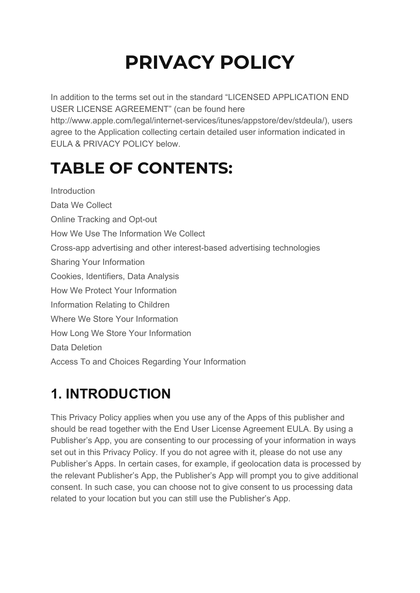# **PRIVACY POLICY**

In addition to the terms set out in the standard "LICENSED APPLICATION END USER LICENSE AGREEMENT" (can be found here

http://www.apple.com/legal/internet-services/itunes/appstore/dev/stdeula/), users agree to the Application collecting certain detailed user information indicated in EULA & PRIVACY POLICY below.

# **TABLE OF CONTENTS:**

**Introduction** Data We Collect Online Tracking and Opt-out How We Use The Information We Collect Cross-app advertising and other interest-based advertising technologies Sharing Your Information Cookies, Identifiers, Data Analysis How We Protect Your Information Information Relating to Children Where We Store Your Information How Long We Store Your Information Data Deletion Access To and Choices Regarding Your Information

# **1. INTRODUCTION**

This Privacy Policy applies when you use any of the Apps of this publisher and should be read together with the End User License Agreement EULA. By using a Publisher's App, you are consenting to our processing of your information in ways set out in this Privacy Policy. If you do not agree with it, please do not use any Publisher's Apps. In certain cases, for example, if geolocation data is processed by the relevant Publisher's App, the Publisher's App will prompt you to give additional consent. In such case, you can choose not to give consent to us processing data related to your location but you can still use the Publisher's App.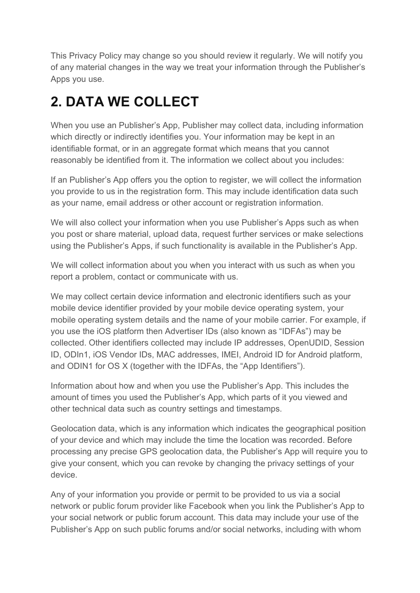This Privacy Policy may change so you should review it regularly. We will notify you of any material changes in the way we treat your information through the Publisher's Apps you use.

### **2. DATA WE COLLECT**

When you use an Publisher's App, Publisher may collect data, including information which directly or indirectly identifies you. Your information may be kept in an identifiable format, or in an aggregate format which means that you cannot reasonably be identified from it. The information we collect about you includes:

If an Publisher's App offers you the option to register, we will collect the information you provide to us in the registration form. This may include identification data such as your name, email address or other account or registration information.

We will also collect your information when you use Publisher's Apps such as when you post or share material, upload data, request further services or make selections using the Publisher's Apps, if such functionality is available in the Publisher's App.

We will collect information about you when you interact with us such as when you report a problem, contact or communicate with us.

We may collect certain device information and electronic identifiers such as your mobile device identifier provided by your mobile device operating system, your mobile operating system details and the name of your mobile carrier. For example, if you use the iOS platform then Advertiser IDs (also known as "IDFAs") may be collected. Other identifiers collected may include IP addresses, OpenUDID, Session ID, ODIn1, iOS Vendor IDs, MAC addresses, IMEI, Android ID for Android platform, and ODIN1 for OS X (together with the IDFAs, the "App Identifiers").

Information about how and when you use the Publisher's App. This includes the amount of times you used the Publisher's App, which parts of it you viewed and other technical data such as country settings and timestamps.

Geolocation data, which is any information which indicates the geographical position of your device and which may include the time the location was recorded. Before processing any precise GPS geolocation data, the Publisher's App will require you to give your consent, which you can revoke by changing the privacy settings of your device.

Any of your information you provide or permit to be provided to us via a social network or public forum provider like Facebook when you link the Publisher's App to your social network or public forum account. This data may include your use of the Publisher's App on such public forums and/or social networks, including with whom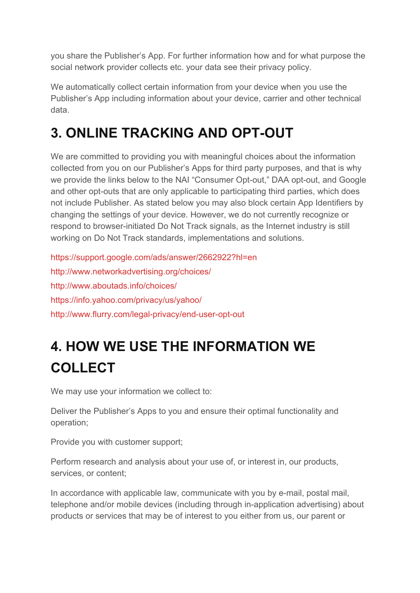you share the Publisher's App. For further information how and for what purpose the social network provider collects etc. your data see their privacy policy.

We automatically collect certain information from your device when you use the Publisher's App including information about your device, carrier and other technical data.

### **3. ONLINE TRACKING AND OPT-OUT**

We are committed to providing you with meaningful choices about the information collected from you on our Publisher's Apps for third party purposes, and that is why we provide the links below to the NAI "Consumer Opt-out," DAA opt-out, and Google and other opt-outs that are only applicable to participating third parties, which does not include Publisher. As stated below you may also block certain App Identifiers by changing the settings of your device. However, we do not currently recognize or respond to browser-initiated Do Not Track signals, as the Internet industry is still working on Do Not Track standards, implementations and solutions.

<https://support.google.com/ads/answer/2662922?hl=en> <http://www.networkadvertising.org/choices/> <http://www.aboutads.info/choices/> <https://info.yahoo.com/privacy/us/yahoo/> <http://www.flurry.com/legal-privacy/end-user-opt-out>

# **4. HOW WE USE THE INFORMATION WE COLLECT**

We may use your information we collect to:

Deliver the Publisher's Apps to you and ensure their optimal functionality and operation;

Provide you with customer support;

Perform research and analysis about your use of, or interest in, our products, services, or content;

In accordance with applicable law, communicate with you by e-mail, postal mail, telephone and/or mobile devices (including through in-application advertising) about products or services that may be of interest to you either from us, our parent or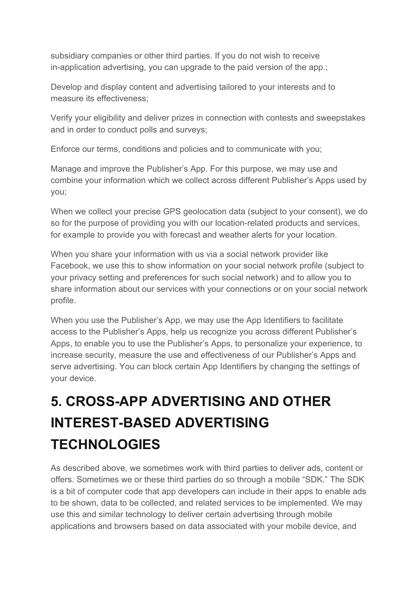subsidiary companies or other third parties. If you do not wish to receive in-application advertising, you can upgrade to the paid version of the app.;

Develop and display content and advertising tailored to your interests and to measure its effectiveness;

Verify your eligibility and deliver prizes in connection with contests and sweepstakes and in order to conduct polls and surveys;

Enforce our terms, conditions and policies and to communicate with you;

Manage and improve the Publisher's App. For this purpose, we may use and combine your information which we collect across different Publisher's Apps used by you;

When we collect your precise GPS geolocation data (subject to your consent), we do so for the purpose of providing you with our location-related products and services, for example to provide you with forecast and weather alerts for your location.

When you share your information with us via a social network provider like Facebook, we use this to show information on your social network profile (subject to your privacy setting and preferences for such social network) and to allow you to share information about our services with your connections or on your social network profile.

When you use the Publisher's App, we may use the App Identifiers to facilitate access to the Publisher's Apps, help us recognize you across different Publisher's Apps, to enable you to use the Publisher's Apps, to personalize your experience, to increase security, measure the use and effectiveness of our Publisher's Apps and serve advertising. You can block certain App Identifiers by changing the settings of your device.

# **5. CROSS-APP ADVERTISING AND OTHER INTEREST-BASED ADVERTISING TECHNOLOGIES**

As described above, we sometimes work with third parties to deliver ads, content or offers. Sometimes we or these third parties do so through a mobile "SDK." The SDK is a bit of computer code that app developers can include in their apps to enable ads to be shown, data to be collected, and related services to be implemented. We may use this and similar technology to deliver certain advertising through mobile applications and browsers based on data associated with your mobile device, and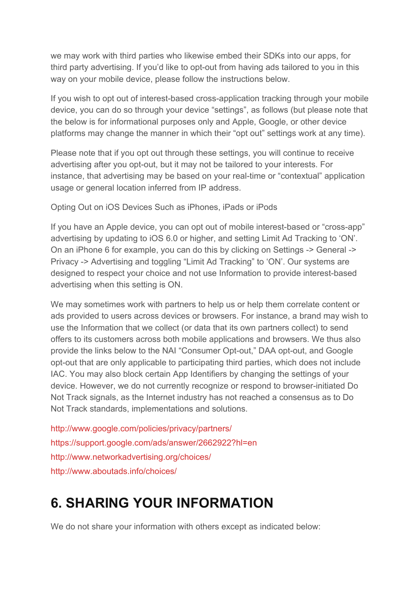we may work with third parties who likewise embed their SDKs into our apps, for third party advertising. If you'd like to opt-out from having ads tailored to you in this way on your mobile device, please follow the instructions below.

If you wish to opt out of interest-based cross-application tracking through your mobile device, you can do so through your device "settings", as follows (but please note that the below is for informational purposes only and Apple, Google, or other device platforms may change the manner in which their "opt out" settings work at any time).

Please note that if you opt out through these settings, you will continue to receive advertising after you opt-out, but it may not be tailored to your interests. For instance, that advertising may be based on your real-time or "contextual" application usage or general location inferred from IP address.

Opting Out on iOS Devices Such as iPhones, iPads or iPods

If you have an Apple device, you can opt out of mobile interest-based or "cross-app" advertising by updating to iOS 6.0 or higher, and setting Limit Ad Tracking to 'ON'. On an iPhone 6 for example, you can do this by clicking on Settings -> General -> Privacy -> Advertising and toggling "Limit Ad Tracking" to 'ON'. Our systems are designed to respect your choice and not use Information to provide interest-based advertising when this setting is ON.

We may sometimes work with partners to help us or help them correlate content or ads provided to users across devices or browsers. For instance, a brand may wish to use the Information that we collect (or data that its own partners collect) to send offers to its customers across both mobile applications and browsers. We thus also provide the links below to the NAI "Consumer Opt-out," DAA opt-out, and Google opt-out that are only applicable to participating third parties, which does not include IAC. You may also block certain App Identifiers by changing the settings of your device. However, we do not currently recognize or respond to browser-initiated Do Not Track signals, as the Internet industry has not reached a consensus as to Do Not Track standards, implementations and solutions.

<http://www.google.com/policies/privacy/partners/> <https://support.google.com/ads/answer/2662922?hl=en> <http://www.networkadvertising.org/choices/> <http://www.aboutads.info/choices/>

### **6. SHARING YOUR INFORMATION**

We do not share your information with others except as indicated below: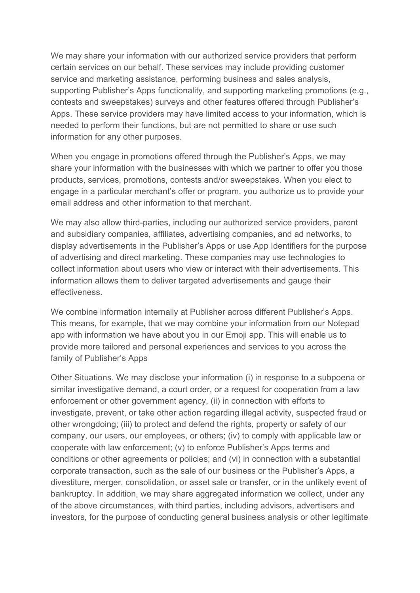We may share your information with our authorized service providers that perform certain services on our behalf. These services may include providing customer service and marketing assistance, performing business and sales analysis, supporting Publisher's Apps functionality, and supporting marketing promotions (e.g., contests and sweepstakes) surveys and other features offered through Publisher's Apps. These service providers may have limited access to your information, which is needed to perform their functions, but are not permitted to share or use such information for any other purposes.

When you engage in promotions offered through the Publisher's Apps, we may share your information with the businesses with which we partner to offer you those products, services, promotions, contests and/or sweepstakes. When you elect to engage in a particular merchant's offer or program, you authorize us to provide your email address and other information to that merchant.

We may also allow third-parties, including our authorized service providers, parent and subsidiary companies, affiliates, advertising companies, and ad networks, to display advertisements in the Publisher's Apps or use App Identifiers for the purpose of advertising and direct marketing. These companies may use technologies to collect information about users who view or interact with their advertisements. This information allows them to deliver targeted advertisements and gauge their effectiveness.

We combine information internally at Publisher across different Publisher's Apps. This means, for example, that we may combine your information from our Notepad app with information we have about you in our Emoji app. This will enable us to provide more tailored and personal experiences and services to you across the family of Publisher's Apps

Other Situations. We may disclose your information (i) in response to a subpoena or similar investigative demand, a court order, or a request for cooperation from a law enforcement or other government agency, (ii) in connection with efforts to investigate, prevent, or take other action regarding illegal activity, suspected fraud or other wrongdoing; (iii) to protect and defend the rights, property or safety of our company, our users, our employees, or others; (iv) to comply with applicable law or cooperate with law enforcement; (v) to enforce Publisher's Apps terms and conditions or other agreements or policies; and (vi) in connection with a substantial corporate transaction, such as the sale of our business or the Publisher's Apps, a divestiture, merger, consolidation, or asset sale or transfer, or in the unlikely event of bankruptcy. In addition, we may share aggregated information we collect, under any of the above circumstances, with third parties, including advisors, advertisers and investors, for the purpose of conducting general business analysis or other legitimate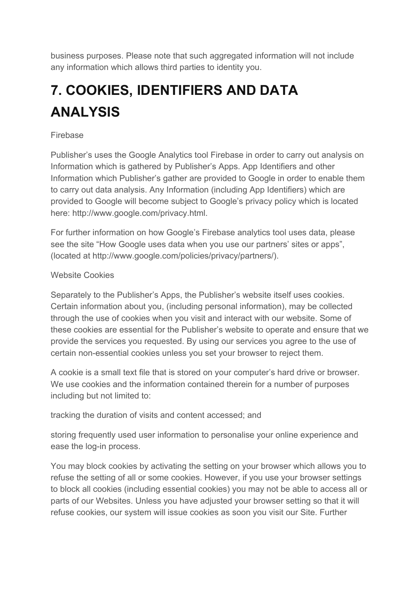business purposes. Please note that such aggregated information will not include any information which allows third parties to identity you.

# **7. COOKIES, IDENTIFIERS AND DATA ANALYSIS**

#### Firebase

Publisher's uses the Google Analytics tool Firebase in order to carry out analysis on Information which is gathered by Publisher's Apps. App Identifiers and other Information which Publisher's gather are provided to Google in order to enable them to carry out data analysis. Any Information (including App Identifiers) which are provided to Google will become subject to Google's privacy policy which is located here: http://www.google.com/privacy.html.

For further information on how Google's Firebase analytics tool uses data, please see the site "How Google uses data when you use our partners' sites or apps", (located at http://www.google.com/policies/privacy/partners/).

#### Website Cookies

Separately to the Publisher's Apps, the Publisher's website itself uses cookies. Certain information about you, (including personal information), may be collected through the use of cookies when you visit and interact with our website. Some of these cookies are essential for the Publisher's website to operate and ensure that we provide the services you requested. By using our services you agree to the use of certain non-essential cookies unless you set your browser to reject them.

A cookie is a small text file that is stored on your computer's hard drive or browser. We use cookies and the information contained therein for a number of purposes including but not limited to:

tracking the duration of visits and content accessed; and

storing frequently used user information to personalise your online experience and ease the log-in process.

You may block cookies by activating the setting on your browser which allows you to refuse the setting of all or some cookies. However, if you use your browser settings to block all cookies (including essential cookies) you may not be able to access all or parts of our Websites. Unless you have adjusted your browser setting so that it will refuse cookies, our system will issue cookies as soon you visit our Site. Further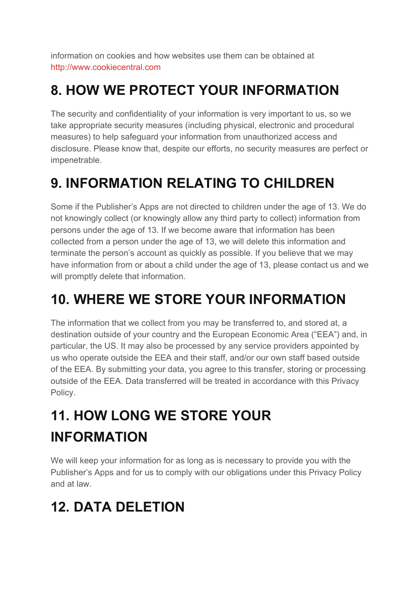information on cookies and how websites use them can be obtained at [http://www.cookiecentral.com](http://www.cookiecentral.com/)

### **8. HOW WE PROTECT YOUR INFORMATION**

The security and confidentiality of your information is very important to us, so we take appropriate security measures (including physical, electronic and procedural measures) to help safeguard your information from unauthorized access and disclosure. Please know that, despite our efforts, no security measures are perfect or impenetrable.

### **9. INFORMATION RELATING TO CHILDREN**

Some if the Publisher's Apps are not directed to children under the age of 13. We do not knowingly collect (or knowingly allow any third party to collect) information from persons under the age of 13. If we become aware that information has been collected from a person under the age of 13, we will delete this information and terminate the person's account as quickly as possible. If you believe that we may have information from or about a child under the age of 13, please contact us and we will promptly delete that information.

### **10. WHERE WE STORE YOUR INFORMATION**

The information that we collect from you may be transferred to, and stored at, a destination outside of your country and the European Economic Area ("EEA") and, in particular, the US. It may also be processed by any service providers appointed by us who operate outside the EEA and their staff, and/or our own staff based outside of the EEA. By submitting your data, you agree to this transfer, storing or processing outside of the EEA. Data transferred will be treated in accordance with this Privacy Policy.

# **11. HOW LONG WE STORE YOUR INFORMATION**

We will keep your information for as long as is necessary to provide you with the Publisher's Apps and for us to comply with our obligations under this Privacy Policy and at law.

### **12. DATA DELETION**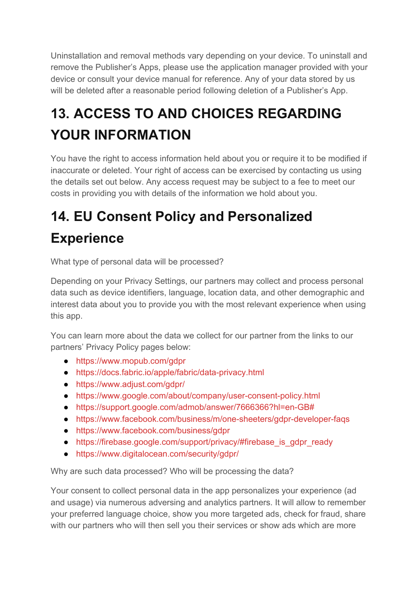Uninstallation and removal methods vary depending on your device. To uninstall and remove the Publisher's Apps, please use the application manager provided with your device or consult your device manual for reference. Any of your data stored by us will be deleted after a reasonable period following deletion of a Publisher's App.

# **13. ACCESS TO AND CHOICES REGARDING YOUR INFORMATION**

You have the right to access information held about you or require it to be modified if inaccurate or deleted. Your right of access can be exercised by contacting us using the details set out below. Any access request may be subject to a fee to meet our costs in providing you with details of the information we hold about you.

### **14. EU Consent Policy and Personalized Experience**

What type of personal data will be processed?

Depending on your Privacy Settings, our partners may collect and process personal data such as device identifiers, language, location data, and other demographic and interest data about you to provide you with the most relevant experience when using this app.

You can learn more about the data we collect for our partner from the links to our partners' Privacy Policy pages below:

- <https://www.mopub.com/gdpr>
- <https://docs.fabric.io/apple/fabric/data-privacy.html>
- <https://www.adjust.com/gdpr/>
- <https://www.google.com/about/company/user-consent-policy.html>
- <https://support.google.com/admob/answer/7666366?hl=en-GB#>
- <https://www.facebook.com/business/m/one-sheeters/gdpr-developer-faqs>
- <https://www.facebook.com/business/gdpr>
- [https://firebase.google.com/support/privacy/#firebase\\_is\\_gdpr\\_ready](https://firebase.google.com/support/privacy/#firebase_is_gdpr_ready)
- <https://www.digitalocean.com/security/gdpr/>

Why are such data processed? Who will be processing the data?

Your consent to collect personal data in the app personalizes your experience (ad and usage) via numerous adversing and analytics partners. It will allow to remember your preferred language choice, show you more targeted ads, check for fraud, share with our partners who will then sell you their services or show ads which are more